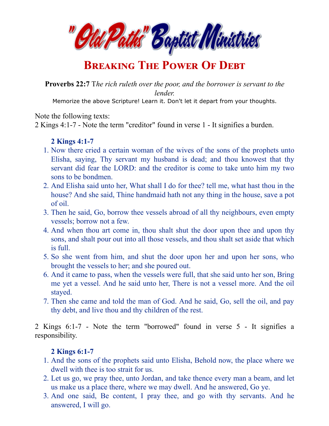

# **BREAKING THE POWER OF DEBT**

**Proverbs 22:7** T*he rich ruleth over the poor, and the borrower is servant to the lender.*

Memorize the above Scripture! Learn it. Don't let it depart from your thoughts.

Note the following texts:

2 Kings 4:1-7 - Note the term "creditor" found in verse 1 - It signifies a burden.

### **2 Kings 4:1-7**

- 1. Now there cried a certain woman of the wives of the sons of the prophets unto Elisha, saying, Thy servant my husband is dead; and thou knowest that thy servant did fear the LORD: and the creditor is come to take unto him my two sons to be bondmen.
- 2. And Elisha said unto her, What shall I do for thee? tell me, what hast thou in the house? And she said, Thine handmaid hath not any thing in the house, save a pot of oil.
- 3. Then he said, Go, borrow thee vessels abroad of all thy neighbours, even empty vessels; borrow not a few.
- 4. And when thou art come in, thou shalt shut the door upon thee and upon thy sons, and shalt pour out into all those vessels, and thou shalt set aside that which is full.
- 5. So she went from him, and shut the door upon her and upon her sons, who brought the vessels to her; and she poured out.
- 6. And it came to pass, when the vessels were full, that she said unto her son, Bring me yet a vessel. And he said unto her, There is not a vessel more. And the oil stayed.
- 7. Then she came and told the man of God. And he said, Go, sell the oil, and pay thy debt, and live thou and thy children of the rest.

2 Kings 6:1-7 - Note the term "borrowed" found in verse 5 - It signifies a responsibility.

## **2 Kings 6:1-7**

- 1. And the sons of the prophets said unto Elisha, Behold now, the place where we dwell with thee is too strait for us.
- 2. Let us go, we pray thee, unto Jordan, and take thence every man a beam, and let us make us a place there, where we may dwell. And he answered, Go ye.
- 3. And one said, Be content, I pray thee, and go with thy servants. And he answered, I will go.